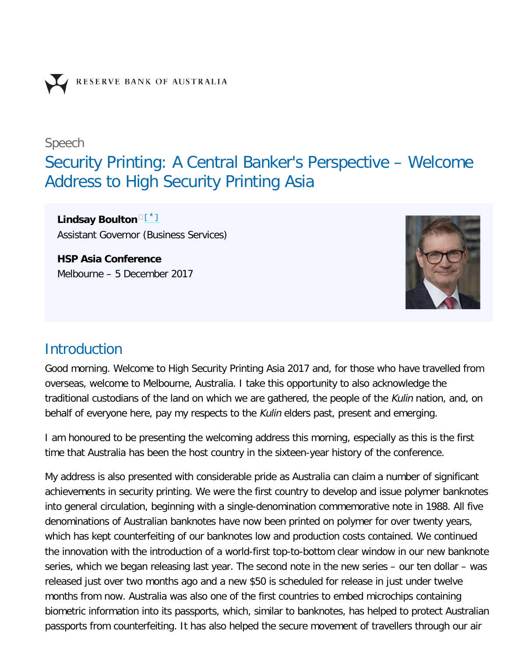

Speech

# Security Printing: A Central Banker's Perspective – Welcome Address to High Security Printing Asia

<span id="page-0-0"></span>Lindsay Boulton<sup>ners</sup> Assistant Governor (Business Services)

**HSP Asia Conference** Melbourne – 5 December 2017



### **Introduction**

Good morning. Welcome to High Security Printing Asia 2017 and, for those who have travelled from overseas, welcome to Melbourne, Australia. I take this opportunity to also acknowledge the traditional custodians of the land on which we are gathered, the people of the Kulin nation, and, on behalf of everyone here, pay my respects to the Kulin elders past, present and emerging.

I am honoured to be presenting the welcoming address this morning, especially as this is the first time that Australia has been the host country in the sixteen-year history of the conference.

My address is also presented with considerable pride as Australia can claim a number of significant achievements in security printing. We were the first country to develop and issue polymer banknotes into general circulation, beginning with a single-denomination commemorative note in 1988. All five denominations of Australian banknotes have now been printed on polymer for over twenty years, which has kept counterfeiting of our banknotes low and production costs contained. We continued the innovation with the introduction of a world-first top-to-bottom clear window in our new banknote series, which we began releasing last year. The second note in the new series – our ten dollar – was released just over two months ago and a new \$50 is scheduled for release in just under twelve months from now. Australia was also one of the first countries to embed microchips containing biometric information into its passports, which, similar to banknotes, has helped to protect Australian passports from counterfeiting. It has also helped the secure movement of travellers through our air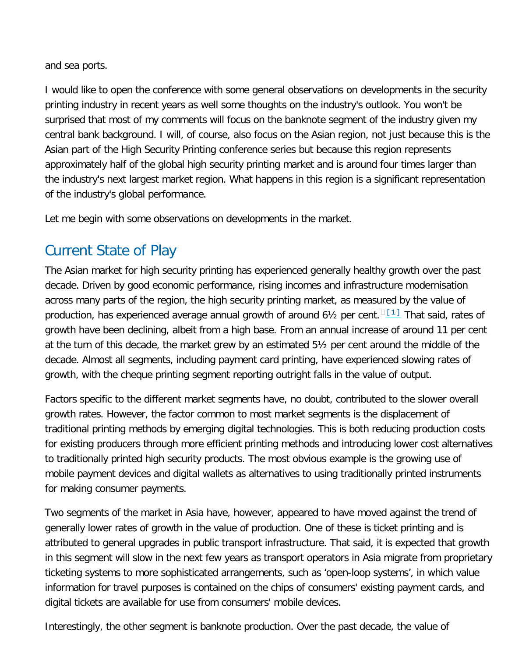and sea ports.

I would like to open the conference with some general observations on developments in the security printing industry in recent years as well some thoughts on the industry's outlook. You won't be surprised that most of my comments will focus on the banknote segment of the industry given my central bank background. I will, of course, also focus on the Asian region, not just because this is the Asian part of the High Security Printing conference series but because this region represents approximately half of the global high security printing market and is around four times larger than the industry's next largest market region. What happens in this region is a significant representation of the industry's global performance.

Let me begin with some observations on developments in the market.

## Current State of Play

<span id="page-1-0"></span>The Asian market for high security printing has experienced generally healthy growth over the past decade. Driven by good economic performance, rising incomes and infrastructure modernisation across many parts of the region, the high security printing market, as measured by the value of production, has experienced average annual growth of around 6½ per cent.  $\sqrt{11}$  That said, rates of growth have been declining, albeit from a high base. From an annual increase of around 11 per cent at the turn of this decade, the market grew by an estimated 5½ per cent around the middle of the decade. Almost all segments, including payment card printing, have experienced slowing rates of growth, with the cheque printing segment reporting outright falls in the value of output.

Factors specific to the different market segments have, no doubt, contributed to the slower overall growth rates. However, the factor common to most market segments is the displacement of traditional printing methods by emerging digital technologies. This is both reducing production costs for existing producers through more efficient printing methods and introducing lower cost alternatives to traditionally printed high security products. The most obvious example is the growing use of mobile payment devices and digital wallets as alternatives to using traditionally printed instruments for making consumer payments.

Two segments of the market in Asia have, however, appeared to have moved against the trend of generally lower rates of growth in the value of production. One of these is ticket printing and is attributed to general upgrades in public transport infrastructure. That said, it is expected that growth in this segment will slow in the next few years as transport operators in Asia migrate from proprietary ticketing systems to more sophisticated arrangements, such as 'open-loop systems', in which value information for travel purposes is contained on the chips of consumers' existing payment cards, and digital tickets are available for use from consumers' mobile devices.

Interestingly, the other segment is banknote production. Over the past decade, the value of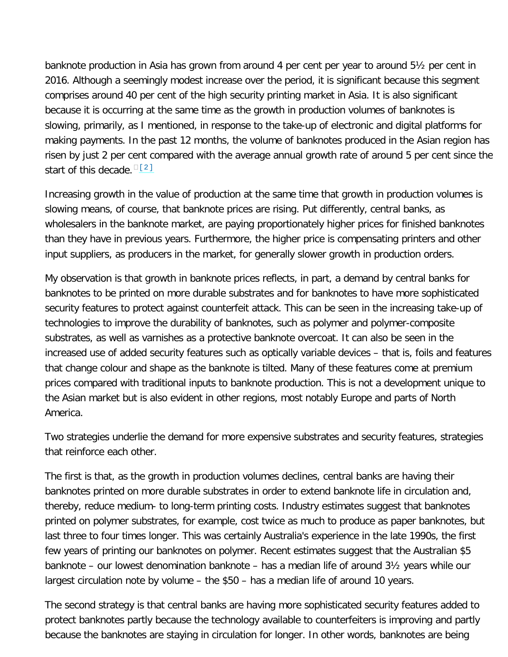banknote production in Asia has grown from around 4 per cent per year to around 5½ per cent in 2016. Although a seemingly modest increase over the period, it is significant because this segment comprises around 40 per cent of the high security printing market in Asia. It is also significant because it is occurring at the same time as the growth in production volumes of banknotes is slowing, primarily, as I mentioned, in response to the take-up of electronic and digital platforms for making payments. In the past 12 months, the volume of banknotes produced in the Asian region has risen by just 2 per cent compared with the average annual growth rate of around 5 per cent since the start of this decade. <sup>[\[2\]](#page-6-2)</sup>

<span id="page-2-0"></span>Increasing growth in the value of production at the same time that growth in production volumes is slowing means, of course, that banknote prices are rising. Put differently, central banks, as wholesalers in the banknote market, are paying proportionately higher prices for finished banknotes than they have in previous years. Furthermore, the higher price is compensating printers and other input suppliers, as producers in the market, for generally slower growth in production orders.

My observation is that growth in banknote prices reflects, in part, a demand by central banks for banknotes to be printed on more durable substrates and for banknotes to have more sophisticated security features to protect against counterfeit attack. This can be seen in the increasing take-up of technologies to improve the durability of banknotes, such as polymer and polymer-composite substrates, as well as varnishes as a protective banknote overcoat. It can also be seen in the increased use of added security features such as optically variable devices – that is, foils and features that change colour and shape as the banknote is tilted. Many of these features come at premium prices compared with traditional inputs to banknote production. This is not a development unique to the Asian market but is also evident in other regions, most notably Europe and parts of North America.

Two strategies underlie the demand for more expensive substrates and security features, strategies that reinforce each other.

The first is that, as the growth in production volumes declines, central banks are having their banknotes printed on more durable substrates in order to extend banknote life in circulation and, thereby, reduce medium- to long-term printing costs. Industry estimates suggest that banknotes printed on polymer substrates, for example, cost twice as much to produce as paper banknotes, but last three to four times longer. This was certainly Australia's experience in the late 1990s, the first few years of printing our banknotes on polymer. Recent estimates suggest that the Australian \$5 banknote – our lowest denomination banknote – has a median life of around 3½ years while our largest circulation note by volume – the \$50 – has a median life of around 10 years.

The second strategy is that central banks are having more sophisticated security features added to protect banknotes partly because the technology available to counterfeiters is improving and partly because the banknotes are staying in circulation for longer. In other words, banknotes are being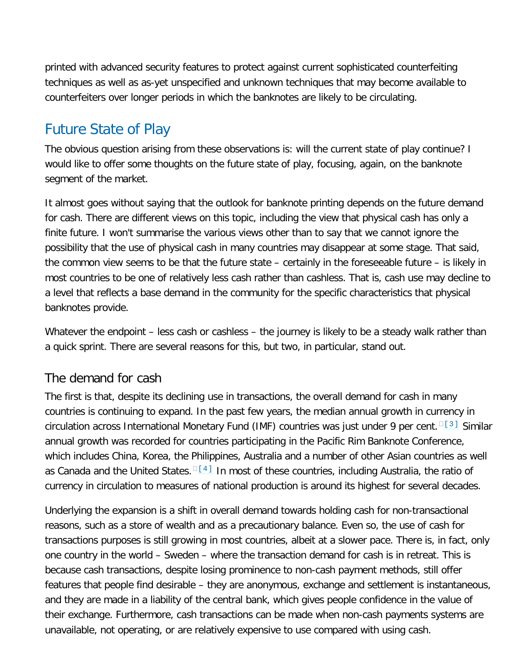printed with advanced security features to protect against current sophisticated counterfeiting techniques as well as as-yet unspecified and unknown techniques that may become available to counterfeiters over longer periods in which the banknotes are likely to be circulating.

### Future State of Play

The obvious question arising from these observations is: will the current state of play continue? I would like to offer some thoughts on the future state of play, focusing, again, on the banknote segment of the market.

It almost goes without saying that the outlook for banknote printing depends on the future demand for cash. There are different views on this topic, including the view that physical cash has only a finite future. I won't summarise the various views other than to say that we cannot ignore the possibility that the use of physical cash in many countries may disappear at some stage. That said, the common view seems to be that the future state – certainly in the foreseeable future – is likely in most countries to be one of relatively less cash rather than cashless. That is, cash use may decline to a level that reflects a base demand in the community for the specific characteristics that physical banknotes provide.

Whatever the endpoint – less cash or cashless – the journey is likely to be a steady walk rather than a quick sprint. There are several reasons for this, but two, in particular, stand out.

#### The demand for cash

<span id="page-3-0"></span>The first is that, despite its declining use in transactions, the overall demand for cash in many countries is continuing to expand. In the past few years, the median annual growth in currency in circulation across International Monetary Fund (IMF) countries was just under 9 per cent. [13] Similar annual growth was recorded for countries participating in the Pacific Rim Banknote Conference, which includes China, Korea, the Philippines, Australia and a number of other Asian countries as well as Canada and the United States.  $\frac{\square 14]}{}$  In most of these countries, including Australia, the ratio of currency in circulation to measures of national production is around its highest for several decades.

<span id="page-3-1"></span>Underlying the expansion is a shift in overall demand towards holding cash for non-transactional reasons, such as a store of wealth and as a precautionary balance. Even so, the use of cash for transactions purposes is still growing in most countries, albeit at a slower pace. There is, in fact, only one country in the world – Sweden – where the transaction demand for cash is in retreat. This is because cash transactions, despite losing prominence to non-cash payment methods, still offer features that people find desirable – they are anonymous, exchange and settlement is instantaneous, and they are made in a liability of the central bank, which gives people confidence in the value of their exchange. Furthermore, cash transactions can be made when non-cash payments systems are unavailable, not operating, or are relatively expensive to use compared with using cash.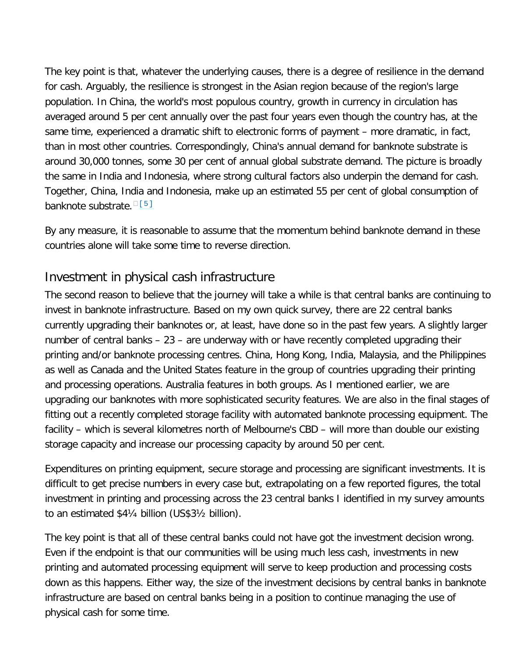The key point is that, whatever the underlying causes, there is a degree of resilience in the demand for cash. Arguably, the resilience is strongest in the Asian region because of the region's large population. In China, the world's most populous country, growth in currency in circulation has averaged around 5 per cent annually over the past four years even though the country has, at the same time, experienced a dramatic shift to electronic forms of payment – more dramatic, in fact, than in most other countries. Correspondingly, China's annual demand for banknote substrate is around 30,000 tonnes, some 30 per cent of annual global substrate demand. The picture is broadly the same in India and Indonesia, where strong cultural factors also underpin the demand for cash. Together, China, India and Indonesia, make up an estimated 55 per cent of global consumption of banknote substrate. [51]

<span id="page-4-0"></span>By any measure, it is reasonable to assume that the momentum behind banknote demand in these countries alone will take some time to reverse direction.

### Investment in physical cash infrastructure

The second reason to believe that the journey will take a while is that central banks are continuing to invest in banknote infrastructure. Based on my own quick survey, there are 22 central banks currently upgrading their banknotes or, at least, have done so in the past few years. A slightly larger number of central banks – 23 – are underway with or have recently completed upgrading their printing and/or banknote processing centres. China, Hong Kong, India, Malaysia, and the Philippines as well as Canada and the United States feature in the group of countries upgrading their printing and processing operations. Australia features in both groups. As I mentioned earlier, we are upgrading our banknotes with more sophisticated security features. We are also in the final stages of fitting out a recently completed storage facility with automated banknote processing equipment. The facility – which is several kilometres north of Melbourne's CBD – will more than double our existing storage capacity and increase our processing capacity by around 50 per cent.

Expenditures on printing equipment, secure storage and processing are significant investments. It is difficult to get precise numbers in every case but, extrapolating on a few reported figures, the total investment in printing and processing across the 23 central banks I identified in my survey amounts to an estimated \$4¼ billion (US\$3½ billion).

The key point is that all of these central banks could not have got the investment decision wrong. Even if the endpoint is that our communities will be using much less cash, investments in new printing and automated processing equipment will serve to keep production and processing costs down as this happens. Either way, the size of the investment decisions by central banks in banknote infrastructure are based on central banks being in a position to continue managing the use of physical cash for some time.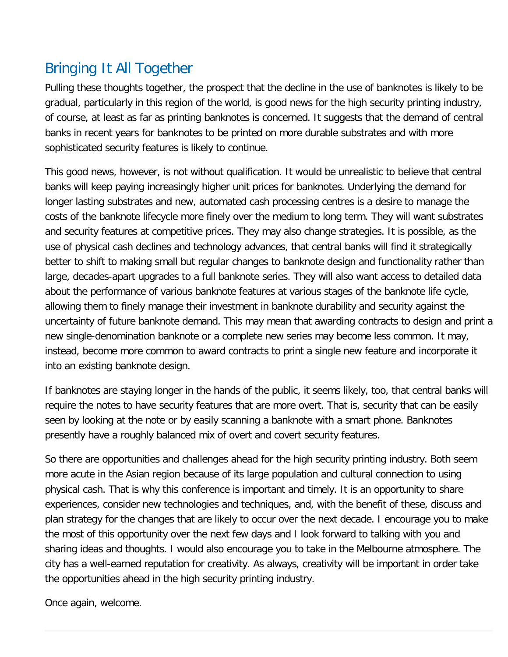## Bringing It All Together

Pulling these thoughts together, the prospect that the decline in the use of banknotes is likely to be gradual, particularly in this region of the world, is good news for the high security printing industry, of course, at least as far as printing banknotes is concerned. It suggests that the demand of central banks in recent years for banknotes to be printed on more durable substrates and with more sophisticated security features is likely to continue.

This good news, however, is not without qualification. It would be unrealistic to believe that central banks will keep paying increasingly higher unit prices for banknotes. Underlying the demand for longer lasting substrates and new, automated cash processing centres is a desire to manage the costs of the banknote lifecycle more finely over the medium to long term. They will want substrates and security features at competitive prices. They may also change strategies. It is possible, as the use of physical cash declines and technology advances, that central banks will find it strategically better to shift to making small but regular changes to banknote design and functionality rather than large, decades-apart upgrades to a full banknote series. They will also want access to detailed data about the performance of various banknote features at various stages of the banknote life cycle, allowing them to finely manage their investment in banknote durability and security against the uncertainty of future banknote demand. This may mean that awarding contracts to design and print a new single-denomination banknote or a complete new series may become less common. It may, instead, become more common to award contracts to print a single new feature and incorporate it into an existing banknote design.

If banknotes are staying longer in the hands of the public, it seems likely, too, that central banks will require the notes to have security features that are more overt. That is, security that can be easily seen by looking at the note or by easily scanning a banknote with a smart phone. Banknotes presently have a roughly balanced mix of overt and covert security features.

So there are opportunities and challenges ahead for the high security printing industry. Both seem more acute in the Asian region because of its large population and cultural connection to using physical cash. That is why this conference is important and timely. It is an opportunity to share experiences, consider new technologies and techniques, and, with the benefit of these, discuss and plan strategy for the changes that are likely to occur over the next decade. I encourage you to make the most of this opportunity over the next few days and I look forward to talking with you and sharing ideas and thoughts. I would also encourage you to take in the Melbourne atmosphere. The city has a well-earned reputation for creativity. As always, creativity will be important in order take the opportunities ahead in the high security printing industry.

Once again, welcome.